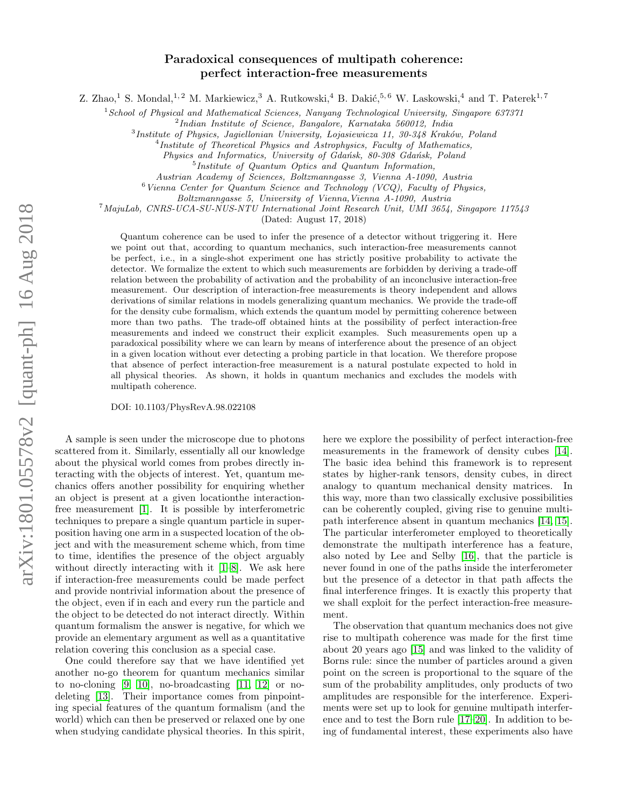# Paradoxical consequences of multipath coherence: perfect interaction-free measurements

Z. Zhao,<sup>1</sup> S. Mondal,<sup>1, 2</sup> M. Markiewicz,<sup>3</sup> A. Rutkowski,<sup>4</sup> B. Dakić,<sup>5,6</sup> W. Laskowski,<sup>4</sup> and T. Paterek<sup>1,7</sup>

 $1$ School of Physical and Mathematical Sciences, Nanyang Technological University, Singapore 637371

2 Indian Institute of Science, Bangalore, Karnataka 560012, India

 $3$ Institute of Physics, Jagiellonian University, Lojasiewicza 11, 30-348 Kraków, Poland

<sup>4</sup>Institute of Theoretical Physics and Astrophysics, Faculty of Mathematics,

Physics and Informatics, University of Gdańsk, 80-308 Gdańsk, Poland

5 Institute of Quantum Optics and Quantum Information,

Austrian Academy of Sciences, Boltzmanngasse 3, Vienna A-1090, Austria

 $6$  Vienna Center for Quantum Science and Technology (VCQ), Faculty of Physics,

Boltzmanngasse 5, University of Vienna,Vienna A-1090, Austria

 $^{7}$ MajuLab, CNRS-UCA-SU-NUS-NTU International Joint Research Unit, UMI 3654, Singapore 117543

(Dated: August 17, 2018)

Quantum coherence can be used to infer the presence of a detector without triggering it. Here we point out that, according to quantum mechanics, such interaction-free measurements cannot be perfect, i.e., in a single-shot experiment one has strictly positive probability to activate the detector. We formalize the extent to which such measurements are forbidden by deriving a trade-off relation between the probability of activation and the probability of an inconclusive interaction-free measurement. Our description of interaction-free measurements is theory independent and allows derivations of similar relations in models generalizing quantum mechanics. We provide the trade-off for the density cube formalism, which extends the quantum model by permitting coherence between more than two paths. The trade-off obtained hints at the possibility of perfect interaction-free measurements and indeed we construct their explicit examples. Such measurements open up a paradoxical possibility where we can learn by means of interference about the presence of an object in a given location without ever detecting a probing particle in that location. We therefore propose that absence of perfect interaction-free measurement is a natural postulate expected to hold in all physical theories. As shown, it holds in quantum mechanics and excludes the models with multipath coherence.

DOI: 10.1103/PhysRevA.98.022108

A sample is seen under the microscope due to photons scattered from it. Similarly, essentially all our knowledge about the physical world comes from probes directly interacting with the objects of interest. Yet, quantum mechanics offers another possibility for enquiring whether an object is present at a given locationthe interactionfree measurement [\[1\]](#page-11-0). It is possible by interferometric techniques to prepare a single quantum particle in superposition having one arm in a suspected location of the object and with the measurement scheme which, from time to time, identifies the presence of the object arguably without directly interacting with it  $[1-8]$  $[1-8]$ . We ask here if interaction-free measurements could be made perfect and provide nontrivial information about the presence of the object, even if in each and every run the particle and the object to be detected do not interact directly. Within quantum formalism the answer is negative, for which we provide an elementary argument as well as a quantitative relation covering this conclusion as a special case.

One could therefore say that we have identified yet another no-go theorem for quantum mechanics similar to no-cloning [\[9,](#page-11-2) [10\]](#page-11-3), no-broadcasting [\[11,](#page-11-4) [12\]](#page-11-5) or nodeleting [\[13\]](#page-11-6). Their importance comes from pinpointing special features of the quantum formalism (and the world) which can then be preserved or relaxed one by one when studying candidate physical theories. In this spirit,

here we explore the possibility of perfect interaction-free measurements in the framework of density cubes [\[14\]](#page-11-7). The basic idea behind this framework is to represent states by higher-rank tensors, density cubes, in direct analogy to quantum mechanical density matrices. In this way, more than two classically exclusive possibilities can be coherently coupled, giving rise to genuine multipath interference absent in quantum mechanics [\[14,](#page-11-7) [15\]](#page-11-8). The particular interferometer employed to theoretically demonstrate the multipath interference has a feature, also noted by Lee and Selby [\[16\]](#page-11-9), that the particle is never found in one of the paths inside the interferometer but the presence of a detector in that path affects the final interference fringes. It is exactly this property that we shall exploit for the perfect interaction-free measurement.

The observation that quantum mechanics does not give rise to multipath coherence was made for the first time about 20 years ago [\[15\]](#page-11-8) and was linked to the validity of Borns rule: since the number of particles around a given point on the screen is proportional to the square of the sum of the probability amplitudes, only products of two amplitudes are responsible for the interference. Experiments were set up to look for genuine multipath interference and to test the Born rule [\[17](#page-12-0)[–20\]](#page-12-1). In addition to being of fundamental interest, these experiments also have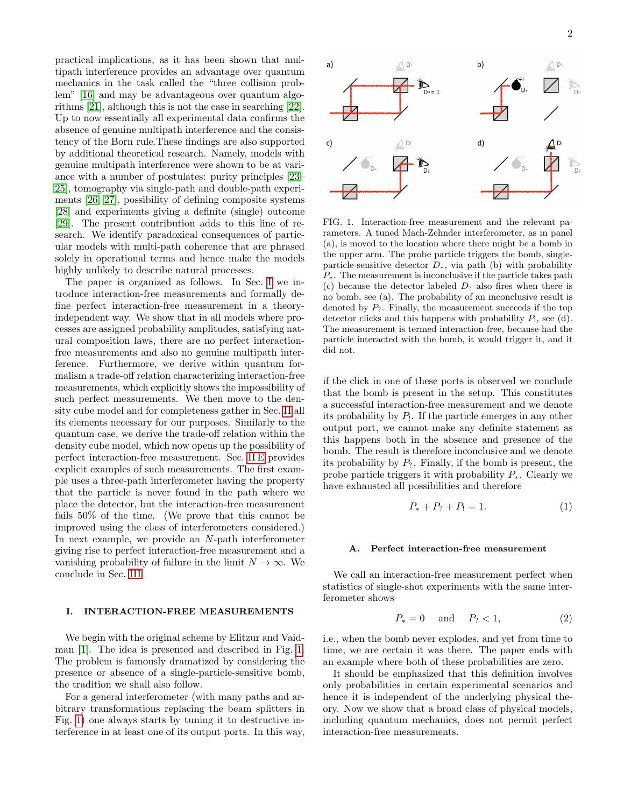practical implications, as it has been shown that multipath interference provides an advantage over quantum mechanics in the task called the "three collision problem" [\[16\]](#page-11-9) and may be advantageous over quantum algorithms [\[21\]](#page-12-2), although this is not the case in searching [\[22\]](#page-12-3). Up to now essentially all experimental data confirms the absence of genuine multipath interference and the consistency of the Born rule.These findings are also supported by additional theoretical research. Namely, models with genuine multipath interference were shown to be at variance with a number of postulates: purity principles [\[23–](#page-12-4) [25\]](#page-12-5), tomography via single-path and double-path experiments [\[26,](#page-12-6) [27\]](#page-12-7), possibility of defining composite systems [\[28\]](#page-12-8) and experiments giving a definite (single) outcome [\[29\]](#page-12-9). The present contribution adds to this line of research. We identify paradoxical consequences of particular models with multi-path coherence that are phrased solely in operational terms and hence make the models highly unlikely to describe natural processes.

The paper is organized as follows. In Sec. [I](#page-1-0) we introduce interaction-free measurements and formally define perfect interaction-free measurement in a theoryindependent way. We show that in all models where processes are assigned probability amplitudes, satisfying natural composition laws, there are no perfect interactionfree measurements and also no genuine multipath interference. Furthermore, we derive within quantum formalism a trade-off relation characterizing interaction-free measurements, which explicitly shows the impossibility of such perfect measurements. We then move to the density cube model and for completeness gather in Sec. [II](#page-3-0) all its elements necessary for our purposes. Similarly to the quantum case, we derive the trade-off relation within the density cube model, which now opens up the possibility of perfect interaction-free measurement. Sec. [II E](#page-5-0) provides explicit examples of such measurements. The first example uses a three-path interferometer having the property that the particle is never found in the path where we place the detector, but the interaction-free measurement fails 50% of the time. (We prove that this cannot be improved using the class of interferometers considered.) In next example, we provide an N-path interferometer giving rise to perfect interaction-free measurement and a vanishing probability of failure in the limit  $N \to \infty$ . We conclude in Sec. [III.](#page-7-0)

## <span id="page-1-0"></span>I. INTERACTION-FREE MEASUREMENTS

We begin with the original scheme by Elitzur and Vaidman [\[1\]](#page-11-0). The idea is presented and described in Fig. [1.](#page-1-1) The problem is famously dramatized by considering the presence or absence of a single-particle-sensitive bomb, the tradition we shall also follow.

For a general interferometer (with many paths and arbitrary transformations replacing the beam splitters in Fig. [1\)](#page-1-1) one always starts by tuning it to destructive interference in at least one of its output ports. In this way,



 $a)$ 

 $c)$ 

<span id="page-1-1"></span>FIG. 1. Interaction-free measurement and the relevant parameters. A tuned Mach-Zehnder interferometer, as in panel (a), is moved to the location where there might be a bomb in the upper arm. The probe particle triggers the bomb, singleparticle-sensitive detector  $D_*$ , via path (b) with probability  $P_{\ast}$ . The measurement is inconclusive if the particle takes path (c) because the detector labeled  $D_2$  also fires when there is no bomb, see (a). The probability of an inconclusive result is denoted by  $P_2$ . Finally, the measurement succeeds if the top detector clicks and this happens with probability  $P_1$ , see (d). The measurement is termed interaction-free, because had the particle interacted with the bomb, it would trigger it, and it did not.

if the click in one of these ports is observed we conclude that the bomb is present in the setup. This constitutes a successful interaction-free measurement and we denote its probability by  $P_1$ . If the particle emerges in any other output port, we cannot make any definite statement as this happens both in the absence and presence of the bomb. The result is therefore inconclusive and we denote its probability by  $P_2$ . Finally, if the bomb is present, the probe particle triggers it with probability  $P_*$ . Clearly we have exhausted all possibilities and therefore

<span id="page-1-2"></span>
$$
P_* + P_? + P_! = 1.
$$
 (1)

## A. Perfect interaction-free measurement

We call an interaction-free measurement perfect when statistics of single-shot experiments with the same interferometer shows

$$
P_* = 0 \quad \text{and} \quad P_? < 1,\tag{2}
$$

i.e., when the bomb never explodes, and yet from time to time, we are certain it was there. The paper ends with an example where both of these probabilities are zero.

It should be emphasized that this definition involves only probabilities in certain experimental scenarios and hence it is independent of the underlying physical theory. Now we show that a broad class of physical models, including quantum mechanics, does not permit perfect interaction-free measurements.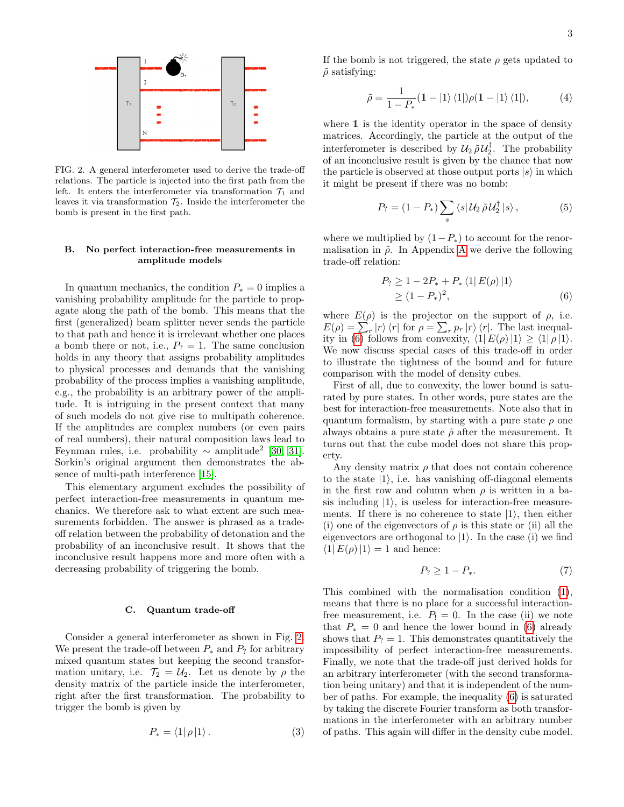

<span id="page-2-0"></span>FIG. 2. A general interferometer used to derive the trade-off relations. The particle is injected into the first path from the left. It enters the interferometer via transformation  $\mathcal{T}_1$  and leaves it via transformation  $\mathcal{T}_2$ . Inside the interferometer the bomb is present in the first path.

### B. No perfect interaction-free measurements in amplitude models

In quantum mechanics, the condition  $P_* = 0$  implies a vanishing probability amplitude for the particle to propagate along the path of the bomb. This means that the first (generalized) beam splitter never sends the particle to that path and hence it is irrelevant whether one places a bomb there or not, i.e.,  $P_2 = 1$ . The same conclusion holds in any theory that assigns probability amplitudes to physical processes and demands that the vanishing probability of the process implies a vanishing amplitude, e.g., the probability is an arbitrary power of the amplitude. It is intriguing in the present context that many of such models do not give rise to multipath coherence. If the amplitudes are complex numbers (or even pairs of real numbers), their natural composition laws lead to Feynman rules, i.e. probability  $\sim$  amplitude<sup>2</sup> [\[30,](#page-12-10) [31\]](#page-12-11). Sorkin's original argument then demonstrates the absence of multi-path interference [\[15\]](#page-11-8).

This elementary argument excludes the possibility of perfect interaction-free measurements in quantum mechanics. We therefore ask to what extent are such measurements forbidden. The answer is phrased as a tradeoff relation between the probability of detonation and the probability of an inconclusive result. It shows that the inconclusive result happens more and more often with a decreasing probability of triggering the bomb.

#### C. Quantum trade-off

Consider a general interferometer as shown in Fig. [2.](#page-2-0) We present the trade-off between  $P_*$  and  $P_?$  for arbitrary mixed quantum states but keeping the second transformation unitary, i.e.  $\mathcal{T}_2 = \mathcal{U}_2$ . Let us denote by  $\rho$  the density matrix of the particle inside the interferometer, right after the first transformation. The probability to trigger the bomb is given by

$$
P_* = \langle 1 | \rho | 1 \rangle. \tag{3}
$$

If the bomb is not triggered, the state  $\rho$  gets updated to  $\tilde{\rho}$  satisfying:

<span id="page-2-2"></span>
$$
\tilde{\rho} = \frac{1}{1 - P_*} (1 - |1\rangle\langle 1|) \rho (1 - |1\rangle\langle 1|), \tag{4}
$$

where 1 is the identity operator in the space of density matrices. Accordingly, the particle at the output of the interferometer is described by  $\mathcal{U}_2 \tilde{\rho} \mathcal{U}_2^{\dagger}$ . The probability of an inconclusive result is given by the chance that now the particle is observed at those output ports  $|s\rangle$  in which it might be present if there was no bomb:

$$
P_? = (1 - P_*) \sum_s \langle s | \mathcal{U}_2 \tilde{\rho} \mathcal{U}_2^{\dagger} | s \rangle, \qquad (5)
$$

where we multiplied by  $(1-P_*)$  to account for the renormalisation in  $\tilde{\rho}$ . In [A](#page-8-0)ppendix A we derive the following trade-off relation:

<span id="page-2-1"></span>
$$
P_? \ge 1 - 2P_* + P_* \langle 1 | E(\rho) | 1 \rangle
$$
  
\ge (1 - P\_\*)^2, (6)

where  $E(\rho)$  is the projector on the support of  $\rho$ , i.e.  $E(\rho) = \sum_{r} |r\rangle \langle r|$  for  $\rho = \sum_{r} p_r |r\rangle \langle r|$ . The last inequal-ity in [\(6\)](#page-2-1) follows from convexity,  $\langle 1| E(\rho) |1 \rangle \ge \langle 1| \rho |1 \rangle$ . We now discuss special cases of this trade-off in order to illustrate the tightness of the bound and for future comparison with the model of density cubes.

First of all, due to convexity, the lower bound is saturated by pure states. In other words, pure states are the best for interaction-free measurements. Note also that in quantum formalism, by starting with a pure state  $\rho$  one always obtains a pure state  $\tilde{\rho}$  after the measurement. It turns out that the cube model does not share this property.

Any density matrix  $\rho$  that does not contain coherence to the state  $|1\rangle$ , i.e. has vanishing off-diagonal elements in the first row and column when  $\rho$  is written in a basis including  $|1\rangle$ , is useless for interaction-free measurements. If there is no coherence to state  $|1\rangle$ , then either (i) one of the eigenvectors of  $\rho$  is this state or (ii) all the eigenvectors are orthogonal to  $|1\rangle$ . In the case (i) we find  $\langle 1| E(\rho) |1 \rangle = 1$  and hence:

$$
P_? \ge 1 - P_*.\tag{7}
$$

This combined with the normalisation condition [\(1\)](#page-1-2), means that there is no place for a successful interactionfree measurement, i.e.  $P_1 = 0$ . In the case (ii) we note that  $P_* = 0$  and hence the lower bound in [\(6\)](#page-2-1) already shows that  $P_2 = 1$ . This demonstrates quantitatively the impossibility of perfect interaction-free measurements. Finally, we note that the trade-off just derived holds for an arbitrary interferometer (with the second transformation being unitary) and that it is independent of the number of paths. For example, the inequality [\(6\)](#page-2-1) is saturated by taking the discrete Fourier transform as both transformations in the interferometer with an arbitrary number of paths. This again will differ in the density cube model.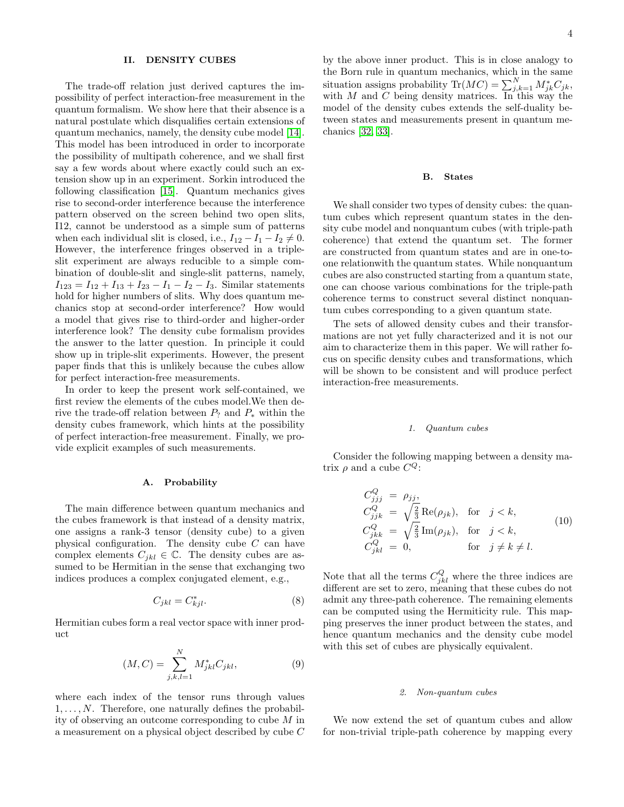### <span id="page-3-0"></span>II. DENSITY CUBES

The trade-off relation just derived captures the impossibility of perfect interaction-free measurement in the quantum formalism. We show here that their absence is a natural postulate which disqualifies certain extensions of quantum mechanics, namely, the density cube model [\[14\]](#page-11-7). This model has been introduced in order to incorporate the possibility of multipath coherence, and we shall first say a few words about where exactly could such an extension show up in an experiment. Sorkin introduced the following classification [\[15\]](#page-11-8). Quantum mechanics gives rise to second-order interference because the interference pattern observed on the screen behind two open slits, I12, cannot be understood as a simple sum of patterns when each individual slit is closed, i.e.,  $I_{12} - I_1 - I_2 \neq 0$ . However, the interference fringes observed in a tripleslit experiment are always reducible to a simple combination of double-slit and single-slit patterns, namely,  $I_{123} = I_{12} + I_{13} + I_{23} - I_1 - I_2 - I_3$ . Similar statements hold for higher numbers of slits. Why does quantum mechanics stop at second-order interference? How would a model that gives rise to third-order and higher-order interference look? The density cube formalism provides the answer to the latter question. In principle it could show up in triple-slit experiments. However, the present paper finds that this is unlikely because the cubes allow for perfect interaction-free measurements.

In order to keep the present work self-contained, we first review the elements of the cubes model.We then derive the trade-off relation between  $P_?$  and  $P_*$  within the density cubes framework, which hints at the possibility of perfect interaction-free measurement. Finally, we provide explicit examples of such measurements.

### A. Probability

The main difference between quantum mechanics and the cubes framework is that instead of a density matrix, one assigns a rank-3 tensor (density cube) to a given physical configuration. The density cube  $C$  can have complex elements  $C_{jkl} \in \mathbb{C}$ . The density cubes are assumed to be Hermitian in the sense that exchanging two indices produces a complex conjugated element, e.g.,

$$
C_{jkl} = C_{kjl}^*.\tag{8}
$$

Hermitian cubes form a real vector space with inner product

<span id="page-3-2"></span>
$$
(M, C) = \sum_{j,k,l=1}^{N} M_{jkl}^{*} C_{jkl},
$$
\n(9)

where each index of the tensor runs through values  $1, \ldots, N$ . Therefore, one naturally defines the probability of observing an outcome corresponding to cube M in a measurement on a physical object described by cube C

by the above inner product. This is in close analogy to the Born rule in quantum mechanics, which in the same situation assigns probability  $\text{Tr}(MC) = \sum_{j,k=1}^{N} M_{jk}^* C_{jk}$ , with  $M$  and  $C$  being density matrices. In this way the model of the density cubes extends the self-duality between states and measurements present in quantum mechanics [\[32,](#page-12-12) [33\]](#page-12-13).

#### B. States

We shall consider two types of density cubes: the quantum cubes which represent quantum states in the density cube model and nonquantum cubes (with triple-path coherence) that extend the quantum set. The former are constructed from quantum states and are in one-toone relationwith the quantum states. While nonquantum cubes are also constructed starting from a quantum state, one can choose various combinations for the triple-path coherence terms to construct several distinct nonquantum cubes corresponding to a given quantum state.

The sets of allowed density cubes and their transformations are not yet fully characterized and it is not our aim to characterize them in this paper. We will rather focus on specific density cubes and transformations, which will be shown to be consistent and will produce perfect interaction-free measurements.

#### 1. Quantum cubes

Consider the following mapping between a density matrix  $\rho$  and a cube  $C^Q$ :

<span id="page-3-1"></span>
$$
C_{jjj}^{Q} = \rho_{jj},
$$
  
\n
$$
C_{jjk}^{Q} = \sqrt{\frac{2}{3}} \operatorname{Re}(\rho_{jk}), \text{ for } j < k,
$$
  
\n
$$
C_{jkk}^{Q} = \sqrt{\frac{2}{3}} \operatorname{Im}(\rho_{jk}), \text{ for } j < k,
$$
  
\n
$$
C_{jkl}^{Q} = 0, \text{ for } j \neq k \neq l.
$$
\n(10)

Note that all the terms  $C_{jkl}^Q$  where the three indices are different are set to zero, meaning that these cubes do not admit any three-path coherence. The remaining elements can be computed using the Hermiticity rule. This mapping preserves the inner product between the states, and hence quantum mechanics and the density cube model with this set of cubes are physically equivalent.

#### 2. Non-quantum cubes

We now extend the set of quantum cubes and allow for non-trivial triple-path coherence by mapping every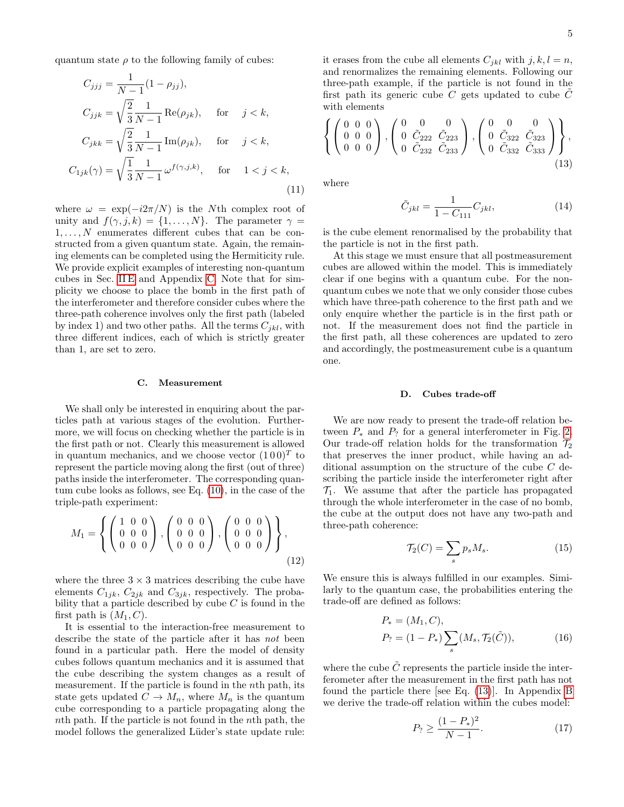quantum state  $\rho$  to the following family of cubes:

$$
C_{jjj} = \frac{1}{N-1} (1 - \rho_{jj}),
$$
  
\n
$$
C_{jjk} = \sqrt{\frac{2}{3}} \frac{1}{N-1} \operatorname{Re}(\rho_{jk}), \quad \text{for} \quad j < k,
$$
  
\n
$$
C_{jkk} = \sqrt{\frac{2}{3}} \frac{1}{N-1} \operatorname{Im}(\rho_{jk}), \quad \text{for} \quad j < k,
$$
  
\n
$$
C_{1jk}(\gamma) = \sqrt{\frac{1}{3}} \frac{1}{N-1} \omega^{f(\gamma,j,k)}, \quad \text{for} \quad 1 < j < k,
$$
\n(11)

where  $\omega = \exp(-i2\pi/N)$  is the Nth complex root of unity and  $f(\gamma, j, k) = \{1, ..., N\}$ . The parameter  $\gamma =$  $1, \ldots, N$  enumerates different cubes that can be constructed from a given quantum state. Again, the remaining elements can be completed using the Hermiticity rule. We provide explicit examples of interesting non-quantum cubes in Sec. [II E](#page-5-0) and Appendix [C.](#page-8-1) Note that for simplicity we choose to place the bomb in the first path of the interferometer and therefore consider cubes where the three-path coherence involves only the first path (labeled by index 1) and two other paths. All the terms  $C_{jkl}$ , with three different indices, each of which is strictly greater than 1, are set to zero.

#### C. Measurement

We shall only be interested in enquiring about the particles path at various stages of the evolution. Furthermore, we will focus on checking whether the particle is in the first path or not. Clearly this measurement is allowed in quantum mechanics, and we choose vector  $(100)^T$  to represent the particle moving along the first (out of three) paths inside the interferometer. The corresponding quantum cube looks as follows, see Eq. [\(10\)](#page-3-1), in the case of the triple-path experiment:

$$
M_1 = \left\{ \left( \begin{array}{rrr} 1 & 0 & 0 \\ 0 & 0 & 0 \\ 0 & 0 & 0 \end{array} \right), \left( \begin{array}{rrr} 0 & 0 & 0 \\ 0 & 0 & 0 \\ 0 & 0 & 0 \end{array} \right), \left( \begin{array}{rrr} 0 & 0 & 0 \\ 0 & 0 & 0 \\ 0 & 0 & 0 \end{array} \right) \right\}, \tag{12}
$$

where the three  $3 \times 3$  matrices describing the cube have elements  $C_{1jk}$ ,  $C_{2jk}$  and  $C_{3jk}$ , respectively. The probability that a particle described by cube  $C$  is found in the first path is  $(M_1, C)$ .

It is essential to the interaction-free measurement to describe the state of the particle after it has not been found in a particular path. Here the model of density cubes follows quantum mechanics and it is assumed that the cube describing the system changes as a result of measurement. If the particle is found in the nth path, its state gets updated  $C \to M_n$ , where  $M_n$  is the quantum cube corresponding to a particle propagating along the nth path. If the particle is not found in the nth path, the model follows the generalized Lüder's state update rule:

it erases from the cube all elements  $C_{jkl}$  with  $j, k, l = n$ , and renormalizes the remaining elements. Following our three-path example, if the particle is not found in the first path its generic cube C gets updated to cube  $\ddot{C}$ with elements

<span id="page-4-0"></span>
$$
\left\{ \left( \begin{array}{ccc} 0 & 0 & 0 \\ 0 & 0 & 0 \\ 0 & 0 & 0 \end{array} \right), \left( \begin{array}{ccc} 0 & 0 & 0 \\ 0 & \tilde{C}_{222} & \tilde{C}_{223} \\ 0 & \tilde{C}_{232} & \tilde{C}_{233} \end{array} \right), \left( \begin{array}{ccc} 0 & 0 & 0 \\ 0 & \tilde{C}_{322} & \tilde{C}_{323} \\ 0 & \tilde{C}_{332} & \tilde{C}_{333} \end{array} \right) \right\},
$$
\n(13)

where

$$
\tilde{C}_{jkl} = \frac{1}{1 - C_{111}} C_{jkl},\tag{14}
$$

is the cube element renormalised by the probability that the particle is not in the first path.

At this stage we must ensure that all postmeasurement cubes are allowed within the model. This is immediately clear if one begins with a quantum cube. For the nonquantum cubes we note that we only consider those cubes which have three-path coherence to the first path and we only enquire whether the particle is in the first path or not. If the measurement does not find the particle in the first path, all these coherences are updated to zero and accordingly, the postmeasurement cube is a quantum one.

### D. Cubes trade-off

We are now ready to present the trade-off relation between  $P_*$  and  $P_?$  for a general interferometer in Fig. [2.](#page-2-0) Our trade-off relation holds for the transformation  $\mathcal{T}_2$ that preserves the inner product, while having an additional assumption on the structure of the cube C describing the particle inside the interferometer right after  $\mathcal{T}_1$ . We assume that after the particle has propagated through the whole interferometer in the case of no bomb, the cube at the output does not have any two-path and three-path coherence:

<span id="page-4-2"></span>
$$
\mathcal{T}_2(C) = \sum_s p_s M_s. \tag{15}
$$

We ensure this is always fulfilled in our examples. Similarly to the quantum case, the probabilities entering the trade-off are defined as follows:

$$
P_* = (M_1, C),
$$
  
\n
$$
P_? = (1 - P_*) \sum_s (M_s, \mathcal{T}_2(\tilde{C})),
$$
\n(16)

where the cube  $\tilde{C}$  represents the particle inside the interferometer after the measurement in the first path has not found the particle there [see Eq. [\(13\)](#page-4-0)]. In Appendix [B](#page-8-2) we derive the trade-off relation within the cubes model:

<span id="page-4-1"></span>
$$
P_? \ge \frac{(1 - P_*)^2}{N - 1}.\tag{17}
$$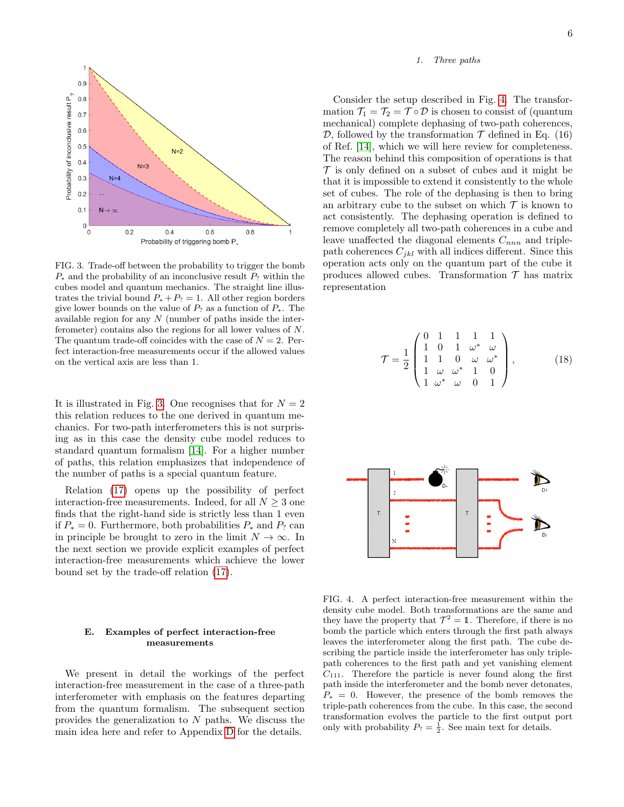

<span id="page-5-1"></span>FIG. 3. Trade-off between the probability to trigger the bomb  $P_*$  and the probability of an inconclusive result  $P_?$  within the cubes model and quantum mechanics. The straight line illustrates the trivial bound  $P_* + P_? = 1$ . All other region borders give lower bounds on the value of  $P_?$  as a function of  $P_*$ . The available region for any  $N$  (number of paths inside the interferometer) contains also the regions for all lower values of N. The quantum trade-off coincides with the case of  $N = 2$ . Perfect interaction-free measurements occur if the allowed values on the vertical axis are less than 1.

It is illustrated in Fig. [3.](#page-5-1) One recognises that for  $N = 2$ this relation reduces to the one derived in quantum mechanics. For two-path interferometers this is not surprising as in this case the density cube model reduces to standard quantum formalism [\[14\]](#page-11-7). For a higher number of paths, this relation emphasizes that independence of the number of paths is a special quantum feature.

Relation [\(17\)](#page-4-1) opens up the possibility of perfect interaction-free measurements. Indeed, for all  $N \geq 3$  one finds that the right-hand side is strictly less than 1 even if  $P_* = 0$ . Furthermore, both probabilities  $P_*$  and  $P_?$  can in principle be brought to zero in the limit  $N \to \infty$ . In the next section we provide explicit examples of perfect interaction-free measurements which achieve the lower bound set by the trade-off relation [\(17\)](#page-4-1).

## <span id="page-5-0"></span>E. Examples of perfect interaction-free measurements

We present in detail the workings of the perfect interaction-free measurement in the case of a three-path interferometer with emphasis on the features departing from the quantum formalism. The subsequent section provides the generalization to N paths. We discuss the main idea here and refer to Appendix [D](#page-10-0) for the details.

## 1. Three paths

Consider the setup described in Fig. [4.](#page-5-2) The transformation  $\mathcal{T}_1 = \mathcal{T}_2 = \mathcal{T} \circ \mathcal{D}$  is chosen to consist of (quantum mechanical) complete dephasing of two-path coherences, D, followed by the transformation  $\mathcal T$  defined in Eq. (16) of Ref. [\[14\]](#page-11-7), which we will here review for completeness. The reason behind this composition of operations is that  $\mathcal T$  is only defined on a subset of cubes and it might be that it is impossible to extend it consistently to the whole set of cubes. The role of the dephasing is then to bring an arbitrary cube to the subset on which  $\mathcal T$  is known to act consistently. The dephasing operation is defined to remove completely all two-path coherences in a cube and leave unaffected the diagonal elements  $C_{nnn}$  and triplepath coherences  $C_{jkl}$  with all indices different. Since this operation acts only on the quantum part of the cube it produces allowed cubes. Transformation  $\mathcal T$  has matrix representation

$$
\mathcal{T} = \frac{1}{2} \begin{pmatrix} 0 & 1 & 1 & 1 & 1 \\ 1 & 0 & 1 & \omega^* & \omega \\ 1 & 1 & 0 & \omega & \omega^* \\ 1 & \omega & \omega^* & 1 & 0 \\ 1 & \omega^* & \omega & 0 & 1 \end{pmatrix}, \quad (18)
$$



<span id="page-5-2"></span>FIG. 4. A perfect interaction-free measurement within the density cube model. Both transformations are the same and they have the property that  $\mathcal{T}^2 = \mathbb{1}$ . Therefore, if there is no bomb the particle which enters through the first path always leaves the interferometer along the first path. The cube describing the particle inside the interferometer has only triplepath coherences to the first path and yet vanishing element  $C_{111}$ . Therefore the particle is never found along the first path inside the interferometer and the bomb never detonates,  $P_* = 0$ . However, the presence of the bomb removes the triple-path coherences from the cube. In this case, the second transformation evolves the particle to the first output port only with probability  $P_? = \frac{1}{2}$ . See main text for details.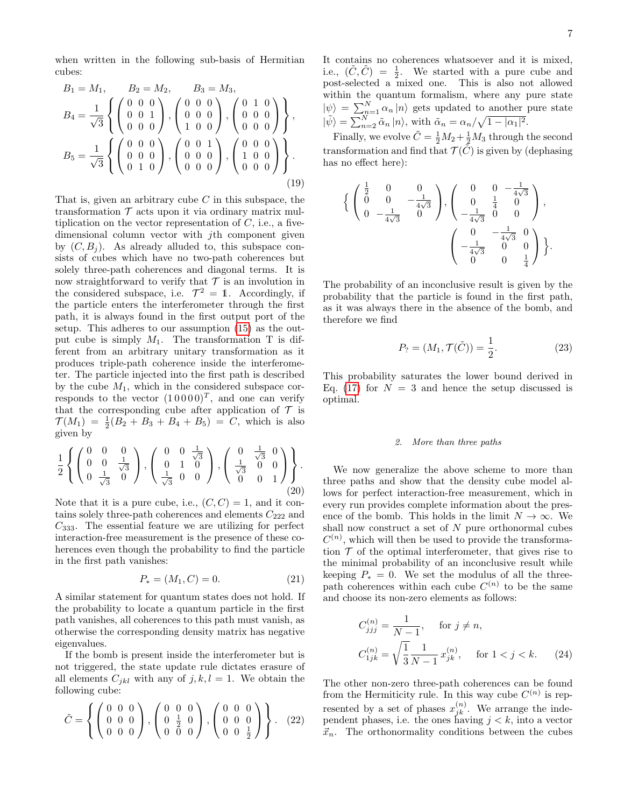when written in the following sub-basis of Hermitian cubes:

$$
B_1 = M_1, \t B_2 = M_2, \t B_3 = M_3,
$$
  
\n
$$
B_4 = \frac{1}{\sqrt{3}} \left\{ \begin{pmatrix} 0 & 0 & 0 \\ 0 & 0 & 1 \\ 0 & 0 & 0 \end{pmatrix}, \begin{pmatrix} 0 & 0 & 0 \\ 0 & 0 & 0 \\ 1 & 0 & 0 \end{pmatrix}, \begin{pmatrix} 0 & 1 & 0 \\ 0 & 0 & 0 \\ 0 & 0 & 0 \end{pmatrix} \right\},
$$
  
\n
$$
B_5 = \frac{1}{\sqrt{3}} \left\{ \begin{pmatrix} 0 & 0 & 0 \\ 0 & 0 & 0 \\ 0 & 1 & 0 \end{pmatrix}, \begin{pmatrix} 0 & 0 & 1 \\ 0 & 0 & 0 \\ 0 & 0 & 0 \end{pmatrix}, \begin{pmatrix} 0 & 0 & 0 \\ 1 & 0 & 0 \\ 0 & 0 & 0 \end{pmatrix} \right\}.
$$
  
\n(19)

That is, given an arbitrary cube  $C$  in this subspace, the transformation  $\mathcal T$  acts upon it via ordinary matrix multiplication on the vector representation of  $C$ , i.e., a fivedimensional column vector with jth component given by  $(C, B_i)$ . As already alluded to, this subspace consists of cubes which have no two-path coherences but solely three-path coherences and diagonal terms. It is now straightforward to verify that  $\mathcal T$  is an involution in the considered subspace, i.e.  $\mathcal{T}^2 = 1$ . Accordingly, if the particle enters the interferometer through the first path, it is always found in the first output port of the setup. This adheres to our assumption [\(15\)](#page-4-2) as the output cube is simply  $M_1$ . The transformation T is different from an arbitrary unitary transformation as it produces triple-path coherence inside the interferometer. The particle injected into the first path is described by the cube  $M_1$ , which in the considered subspace corresponds to the vector  $(10000)^T$ , and one can verify that the corresponding cube after application of  $\mathcal T$  is  $\mathcal{T}(M_1) = \frac{1}{2}(B_2 + B_3 + B_4 + B_5) = C$ , which is also given by

$$
\frac{1}{2} \left\{ \begin{pmatrix} 0 & 0 & 0 \\ 0 & 0 & \frac{1}{\sqrt{3}} \\ 0 & \frac{1}{\sqrt{3}} & 0 \end{pmatrix}, \begin{pmatrix} 0 & 0 & \frac{1}{\sqrt{3}} \\ 0 & 1 & 0 \\ \frac{1}{\sqrt{3}} & 0 & 0 \end{pmatrix}, \begin{pmatrix} 0 & \frac{1}{\sqrt{3}} & 0 \\ \frac{1}{\sqrt{3}} & 0 & 0 \\ 0 & 0 & 1 \end{pmatrix} \right\}.
$$
\n(20)

Note that it is a pure cube, i.e.,  $(C, C) = 1$ , and it contains solely three-path coherences and elements  $C_{222}$  and  $C_{333}$ . The essential feature we are utilizing for perfect interaction-free measurement is the presence of these coherences even though the probability to find the particle in the first path vanishes:

$$
P_* = (M_1, C) = 0.
$$
 (21)

A similar statement for quantum states does not hold. If the probability to locate a quantum particle in the first path vanishes, all coherences to this path must vanish, as otherwise the corresponding density matrix has negative eigenvalues.

If the bomb is present inside the interferometer but is not triggered, the state update rule dictates erasure of all elements  $C_{jkl}$  with any of  $j, k, l = 1$ . We obtain the following cube:

$$
\tilde{C} = \left\{ \left( \begin{array}{ccc} 0 & 0 & 0 \\ 0 & 0 & 0 \\ 0 & 0 & 0 \end{array} \right), \left( \begin{array}{ccc} 0 & 0 & 0 \\ 0 & \frac{1}{2} & 0 \\ 0 & 0 & 0 \end{array} \right), \left( \begin{array}{ccc} 0 & 0 & 0 \\ 0 & 0 & 0 \\ 0 & 0 & \frac{1}{2} \end{array} \right) \right\}. (22)
$$

It contains no coherences whatsoever and it is mixed, i.e.,  $(\tilde{C}, \tilde{C}) = \frac{1}{2}$ . We started with a pure cube and post-selected a mixed one. This is also not allowed within the quantum formalism, where any pure state  $|\psi\rangle = \sum_{n=1}^{N} \alpha_n |n\rangle$  gets updated to another pure state  $|\tilde{\psi}\rangle = \sum_{n=2}^{N} \tilde{\alpha}_n |n\rangle$ , with  $\tilde{\alpha}_n = \alpha_n / \sqrt{1 - |\alpha_1|^2}$ .

Finally, we evolve  $\tilde{C} = \frac{1}{2}M_2 + \frac{1}{2}M_3$  through the second transformation and find that  $\mathcal{T}(\tilde{C})$  is given by (dephasing has no effect here):

$$
\left\{ \begin{pmatrix} \frac{1}{2} & 0 & 0 \\ 0 & 0 & -\frac{1}{4\sqrt{3}} \\ 0 & -\frac{1}{4\sqrt{3}} & 0 \end{pmatrix}, \begin{pmatrix} 0 & 0 & -\frac{1}{4\sqrt{3}} \\ 0 & \frac{1}{4} & 0 \\ -\frac{1}{4\sqrt{3}} & 0 & 0 \end{pmatrix}, \begin{pmatrix} 0 & -\frac{1}{4\sqrt{3}} \\ -\frac{1}{4\sqrt{3}} & 0 & 0 \\ -\frac{1}{4\sqrt{3}} & 0 & 0 \\ 0 & 0 & \frac{1}{4} \end{pmatrix} \right\}.
$$

The probability of an inconclusive result is given by the probability that the particle is found in the first path, as it was always there in the absence of the bomb, and therefore we find

$$
P_? = (M_1, \mathcal{T}(\tilde{C})) = \frac{1}{2}.
$$
 (23)

This probability saturates the lower bound derived in Eq. [\(17\)](#page-4-1) for  $N = 3$  and hence the setup discussed is optimal.

#### 2. More than three paths

We now generalize the above scheme to more than three paths and show that the density cube model allows for perfect interaction-free measurement, which in every run provides complete information about the presence of the bomb. This holds in the limit  $N \to \infty$ . We shall now construct a set of  $N$  pure orthonormal cubes  $C^{(n)}$ , which will then be used to provide the transformation  $\mathcal T$  of the optimal interferometer, that gives rise to the minimal probability of an inconclusive result while keeping  $P_* = 0$ . We set the modulus of all the threepath coherences within each cube  $C^{(n)}$  to be the same and choose its non-zero elements as follows:

$$
C_{jjj}^{(n)} = \frac{1}{N-1}, \quad \text{for } j \neq n,
$$
  
\n
$$
C_{1jk}^{(n)} = \sqrt{\frac{1}{3}} \frac{1}{N-1} x_{jk}^{(n)}, \quad \text{for } 1 < j < k. \tag{24}
$$

The other non-zero three-path coherences can be found from the Hermiticity rule. In this way cube  $C^{(n)}$  is represented by a set of phases  $x_{jk}^{(n)}$ . We arrange the independent phases, i.e. the ones having  $j < k$ , into a vector  $\vec{x}_n$ . The orthonormality conditions between the cubes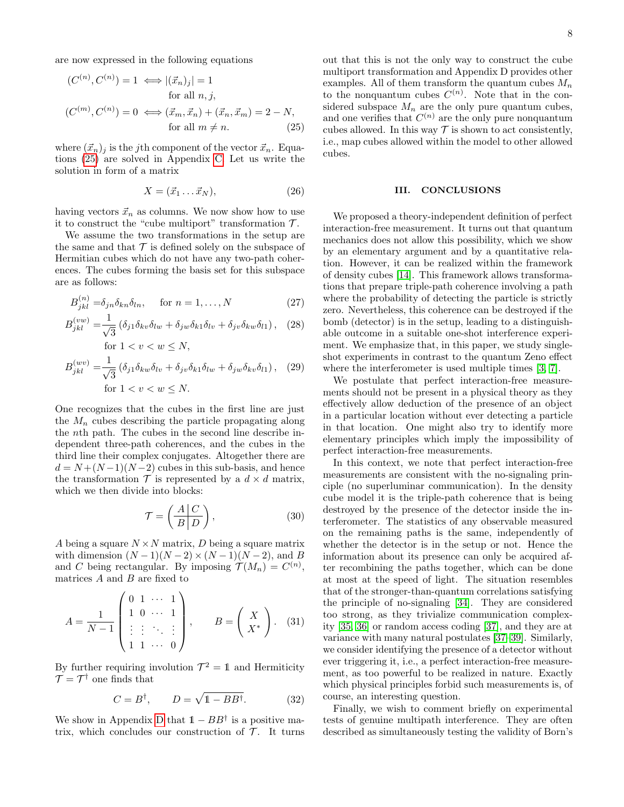are now expressed in the following equations

$$
(C^{(n)}, C^{(n)}) = 1 \iff |(\vec{x}_n)_j| = 1
$$
  
for all  $n, j$ ,  

$$
(C^{(m)}, C^{(n)}) = 0 \iff (\vec{x}_m, \vec{x}_n) + (\vec{x}_n, \vec{x}_m) = 2 - N,
$$
  
for all  $m \neq n$ . (25)

where  $(\vec{x}_n)_i$  is the j<sup>th</sup> component of the vector  $\vec{x}_n$ . Equations [\(25\)](#page-7-1) are solved in Appendix [C.](#page-8-1) Let us write the solution in form of a matrix

$$
X = (\vec{x}_1 \dots \vec{x}_N), \tag{26}
$$

having vectors  $\vec{x}_n$  as columns. We now show how to use it to construct the "cube multiport" transformation  $\mathcal{T}$ .

We assume the two transformations in the setup are the same and that  $\mathcal T$  is defined solely on the subspace of Hermitian cubes which do not have any two-path coherences. The cubes forming the basis set for this subspace are as follows:

$$
B_{jkl}^{(n)} = \delta_{jn}\delta_{kn}\delta_{ln}, \quad \text{for } n = 1, \dots, N
$$
 (27)

$$
B_{jkl}^{(vw)} = \frac{1}{\sqrt{3}} \left( \delta_{j1} \delta_{kv} \delta_{lw} + \delta_{jw} \delta_{k1} \delta_{lv} + \delta_{jv} \delta_{kw} \delta_{l1} \right), \quad (28)
$$
  
for  $1 < v < w \le N$ ,

$$
B_{jkl}^{(wv)} = \frac{1}{\sqrt{3}} \left( \delta_{j1} \delta_{kw} \delta_{lv} + \delta_{jv} \delta_{k1} \delta_{lw} + \delta_{jw} \delta_{kv} \delta_{l1} \right), \quad (29)
$$
  
for  $1 < v < w \le N$ .

One recognizes that the cubes in the first line are just the  $M_n$  cubes describing the particle propagating along the nth path. The cubes in the second line describe independent three-path coherences, and the cubes in the third line their complex conjugates. Altogether there are  $d = N + (N-1)(N-2)$  cubes in this sub-basis, and hence the transformation  $\mathcal T$  is represented by a  $d \times d$  matrix, which we then divide into blocks:

$$
\mathcal{T} = \left(\frac{A \mid C}{B \mid D}\right),\tag{30}
$$

A being a square  $N \times N$  matrix, D being a square matrix with dimension  $(N-1)(N-2) \times (N-1)(N-2)$ , and B and C being rectangular. By imposing  $\mathcal{T}(M_n) = C^{(n)}$ , matrices  $A$  and  $B$  are fixed to

$$
A = \frac{1}{N-1} \begin{pmatrix} 0 & 1 & \cdots & 1 \\ 1 & 0 & \cdots & 1 \\ \vdots & \vdots & \ddots & \vdots \\ 1 & 1 & \cdots & 0 \end{pmatrix}, \qquad B = \begin{pmatrix} X \\ X^* \end{pmatrix}. \quad (31)
$$

By further requiring involution  $\mathcal{T}^2 = 1$  and Hermiticity  $\mathcal{T} = \mathcal{T}^{\dagger}$  one finds that

$$
C = B^{\dagger}, \qquad D = \sqrt{1 - BB^{\dagger}}.
$$
 (32)

We show in Appendix [D](#page-10-0) that  $1 - BB^{\dagger}$  is a positive matrix, which concludes our construction of  $\mathcal{T}$ . It turns <span id="page-7-1"></span>out that this is not the only way to construct the cube multiport transformation and Appendix D provides other examples. All of them transform the quantum cubes  $M_n$ to the nonquantum cubes  $C^{(n)}$ . Note that in the considered subspace  $M_n$  are the only pure quantum cubes, and one verifies that  $C^{(n)}$  are the only pure nonquantum cubes allowed. In this way  $\mathcal T$  is shown to act consistently, i.e., map cubes allowed within the model to other allowed cubes.

#### <span id="page-7-0"></span>III. CONCLUSIONS

We proposed a theory-independent definition of perfect interaction-free measurement. It turns out that quantum mechanics does not allow this possibility, which we show by an elementary argument and by a quantitative relation. However, it can be realized within the framework of density cubes [\[14\]](#page-11-7). This framework allows transformations that prepare triple-path coherence involving a path where the probability of detecting the particle is strictly zero. Nevertheless, this coherence can be destroyed if the bomb (detector) is in the setup, leading to a distinguishable outcome in a suitable one-shot interference experiment. We emphasize that, in this paper, we study singleshot experiments in contrast to the quantum Zeno effect where the interferometer is used multiple times [\[3,](#page-11-10) [7\]](#page-11-11).

We postulate that perfect interaction-free measurements should not be present in a physical theory as they effectively allow deduction of the presence of an object in a particular location without ever detecting a particle in that location. One might also try to identify more elementary principles which imply the impossibility of perfect interaction-free measurements.

In this context, we note that perfect interaction-free measurements are consistent with the no-signaling principle (no superluminar communication). In the density cube model it is the triple-path coherence that is being destroyed by the presence of the detector inside the interferometer. The statistics of any observable measured on the remaining paths is the same, independently of whether the detector is in the setup or not. Hence the information about its presence can only be acquired after recombining the paths together, which can be done at most at the speed of light. The situation resembles that of the stronger-than-quantum correlations satisfying the principle of no-signaling [\[34\]](#page-12-14). They are considered too strong, as they trivialize communication complexity [\[35,](#page-12-15) [36\]](#page-12-16) or random access coding [\[37\]](#page-12-17), and they are at variance with many natural postulates [\[37](#page-12-17)[–39\]](#page-12-18). Similarly, we consider identifying the presence of a detector without ever triggering it, i.e., a perfect interaction-free measurement, as too powerful to be realized in nature. Exactly which physical principles forbid such measurements is, of course, an interesting question.

Finally, we wish to comment briefly on experimental tests of genuine multipath interference. They are often described as simultaneously testing the validity of Born's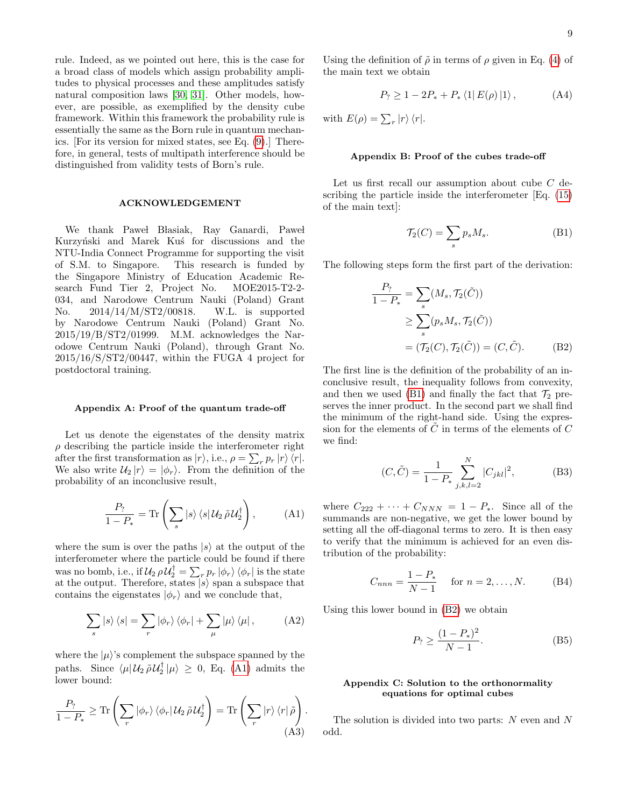rule. Indeed, as we pointed out here, this is the case for a broad class of models which assign probability amplitudes to physical processes and these amplitudes satisfy natural composition laws [\[30,](#page-12-10) [31\]](#page-12-11). Other models, however, are possible, as exemplified by the density cube framework. Within this framework the probability rule is essentially the same as the Born rule in quantum mechanics. [For its version for mixed states, see Eq. [\(9\)](#page-3-2).] Therefore, in general, tests of multipath interference should be distinguished from validity tests of Born's rule.

#### ACKNOWLEDGEMENT

We thank Pawel Błasiak, Ray Ganardi, Pawel Kurzyński and Marek Kuś for discussions and the NTU-India Connect Programme for supporting the visit of S.M. to Singapore. This research is funded by the Singapore Ministry of Education Academic Research Fund Tier 2, Project No. MOE2015-T2-2- 034, and Narodowe Centrum Nauki (Poland) Grant No. 2014/14/M/ST2/00818. W.L. is supported by Narodowe Centrum Nauki (Poland) Grant No. 2015/19/B/ST2/01999. M.M. acknowledges the Narodowe Centrum Nauki (Poland), through Grant No. 2015/16/S/ST2/00447, within the FUGA 4 project for postdoctoral training.

#### <span id="page-8-0"></span>Appendix A: Proof of the quantum trade-off

Let us denote the eigenstates of the density matrix  $\rho$  describing the particle inside the interferometer right after the first transformation as  $|r\rangle$ , i.e.,  $\rho = \sum_{r} p_r |r\rangle \langle r|$ . We also write  $\mathcal{U}_2 |r\rangle = |\phi_r\rangle$ . From the definition of the probability of an inconclusive result,

<span id="page-8-3"></span>
$$
\frac{P_?}{1 - P_*} = \text{Tr}\left(\sum_s |s\rangle\langle s| \mathcal{U}_2 \tilde{\rho} \mathcal{U}_2^\dagger\right),\tag{A1}
$$

where the sum is over the paths  $|s\rangle$  at the output of the interferometer where the particle could be found if there was no bomb, i.e., if  $\mathcal{U}_2 \, \rho \mathcal{U}_2^{\dagger} = \sum_r p_r \ket{\phi_r}\bra{\phi_r}$  is the state at the output. Therefore, states  $|s\rangle$  span a subspace that contains the eigenstates  $|\phi_r\rangle$  and we conclude that,

$$
\sum_{s} |s\rangle\langle s| = \sum_{r} |\phi_{r}\rangle\langle\phi_{r}| + \sum_{\mu} |\mu\rangle\langle\mu|, \qquad (A2)
$$

where the  $|\mu\rangle$ 's complement the subspace spanned by the paths. Since  $\langle \mu | \mathcal{U}_2 \tilde{\rho} \mathcal{U}_2^{\dagger} | \mu \rangle \geq 0$ , Eq. [\(A1\)](#page-8-3) admits the lower bound:

$$
\frac{P_?}{1-P_*} \geq \text{Tr}\left(\sum_r |\phi_r\rangle \langle \phi_r| \mathcal{U}_2 \tilde{\rho} \mathcal{U}_2^{\dagger}\right) = \text{Tr}\left(\sum_r |r\rangle \langle r| \tilde{\rho}\right).
$$
\n(A3)

Using the definition of  $\tilde{\rho}$  in terms of  $\rho$  given in Eq. [\(4\)](#page-2-2) of the main text we obtain

$$
P_? \ge 1 - 2P_* + P_* \langle 1| E(\rho) |1 \rangle , \tag{A4}
$$

with  $E(\rho) = \sum_r |r\rangle \langle r|.$ 

## <span id="page-8-2"></span>Appendix B: Proof of the cubes trade-off

Let us first recall our assumption about cube C describing the particle inside the interferometer [Eq. [\(15\)](#page-4-2) of the main text]:

<span id="page-8-5"></span><span id="page-8-4"></span>
$$
\mathcal{T}_2(C) = \sum_s p_s M_s. \tag{B1}
$$

The following steps form the first part of the derivation:

$$
\frac{P_?}{1 - P_*} = \sum_s (M_s, \mathcal{T}_2(\tilde{C}))
$$
  
\n
$$
\geq \sum_s (p_s M_s, \mathcal{T}_2(\tilde{C}))
$$
  
\n
$$
= (\mathcal{T}_2(C), \mathcal{T}_2(\tilde{C})) = (C, \tilde{C}).
$$
 (B2)

The first line is the definition of the probability of an inconclusive result, the inequality follows from convexity, and then we used [\(B1\)](#page-8-4) and finally the fact that  $\mathcal{T}_2$  preserves the inner product. In the second part we shall find the minimum of the right-hand side. Using the expression for the elements of  $\tilde{C}$  in terms of the elements of  $C$ we find:

$$
(C, \tilde{C}) = \frac{1}{1 - P_*} \sum_{j,k,l=2}^{N} |C_{jkl}|^2,
$$
 (B3)

where  $C_{222} + \cdots + C_{NNN} = 1 - P_*$ . Since all of the summands are non-negative, we get the lower bound by setting all the off-diagonal terms to zero. It is then easy to verify that the minimum is achieved for an even distribution of the probability:

$$
C_{nnn} = \frac{1 - P_*}{N - 1} \quad \text{for } n = 2, ..., N. \tag{B4}
$$

Using this lower bound in [\(B2\)](#page-8-5) we obtain

$$
P_? \ge \frac{(1 - P_*)^2}{N - 1}.
$$
 (B5)

## <span id="page-8-1"></span>Appendix C: Solution to the orthonormality equations for optimal cubes

The solution is divided into two parts: N even and N odd.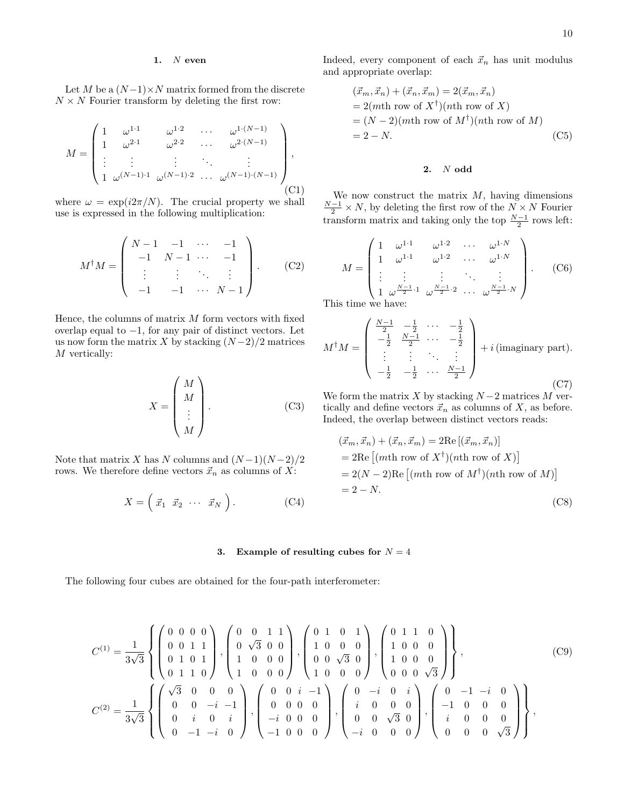## 1.  $N$  even

Let M be a  $(N-1) \times N$  matrix formed from the discrete  $N \times N$  Fourier transform by deleting the first row:

$$
M = \begin{pmatrix} 1 & \omega^{1 \cdot 1} & \omega^{1 \cdot 2} & \cdots & \omega^{1 \cdot (N-1)} \\ 1 & \omega^{2 \cdot 1} & \omega^{2 \cdot 2} & \cdots & \omega^{2 \cdot (N-1)} \\ \vdots & \vdots & \vdots & \ddots & \vdots \\ 1 & \omega^{(N-1) \cdot 1} & \omega^{(N-1) \cdot 2} & \cdots & \omega^{(N-1) \cdot (N-1)} \end{pmatrix},
$$
(C1)

where  $\omega = \exp(i2\pi/N)$ . The crucial property we shall use is expressed in the following multiplication:

$$
M^{\dagger}M = \begin{pmatrix} N-1 & -1 & \cdots & -1 \\ -1 & N-1 & \cdots & -1 \\ \vdots & \vdots & \ddots & \vdots \\ -1 & -1 & \cdots & N-1 \end{pmatrix} .
$$
 (C2)

Hence, the columns of matrix  $M$  form vectors with fixed overlap equal to  $-1$ , for any pair of distinct vectors. Let us now form the matrix X by stacking  $(N-2)/2$  matrices M vertically:

$$
X = \begin{pmatrix} M \\ M \\ \vdots \\ M \end{pmatrix} . \tag{C3}
$$

Note that matrix X has N columns and  $(N-1)(N-2)/2$ rows. We therefore define vectors  $\vec{x}_n$  as columns of  $X:$ 

$$
X = \left(\begin{array}{cccc} \vec{x}_1 & \vec{x}_2 & \cdots & \vec{x}_N \end{array}\right). \tag{C4}
$$

Indeed, every component of each  $\vec{x}_n$  has unit modulus and appropriate overlap:

$$
(\vec{x}_m, \vec{x}_n) + (\vec{x}_n, \vec{x}_m) = 2(\vec{x}_m, \vec{x}_n)
$$
  
= 2(mth row of X<sup>†</sup>)(nth row of X)  
= (N-2)(mth row of M<sup>†</sup>)(nth row of M)  
= 2 - N. (C5)

## 2. N odd

We now construct the matrix  $M$ , having dimensions  $\frac{N-1}{2} \times N$ , by deleting the first row of the  $N \times N$  Fourier transform matrix and taking only the top  $\frac{N-1}{2}$  rows left:

$$
M = \begin{pmatrix} 1 & \omega^{1\cdot 1} & \omega^{1\cdot 2} & \cdots & \omega^{1\cdot N} \\ 1 & \omega^{1\cdot 1} & \omega^{1\cdot 2} & \cdots & \omega^{1\cdot N} \\ \vdots & \vdots & \vdots & \ddots & \vdots \\ 1 & \omega^{\frac{N-1}{2}\cdot 1} & \omega^{\frac{N-1}{2}\cdot 2} & \cdots & \omega^{\frac{N-1}{2}\cdot N} \end{pmatrix} . \tag{C6}
$$

This time we have:

$$
M^{\dagger}M = \begin{pmatrix} \frac{N-1}{2} & -\frac{1}{2} & \cdots & -\frac{1}{2} \\ -\frac{1}{2} & \frac{N-1}{2} & \cdots & -\frac{1}{2} \\ \vdots & \vdots & \ddots & \vdots \\ -\frac{1}{2} & -\frac{1}{2} & \cdots & \frac{N-1}{2} \end{pmatrix} + i \text{ (imaginary part)}.
$$
 (C7)

We form the matrix X by stacking  $N-2$  matrices M vertically and define vectors  $\vec{x}_n$  as columns of X, as before. Indeed, the overlap between distinct vectors reads:

$$
(\vec{x}_m, \vec{x}_n) + (\vec{x}_n, \vec{x}_m) = 2\text{Re}[(\vec{x}_m, \vec{x}_n)]
$$
  
= 2\text{Re}[(mth row of X<sup>†</sup>)(nth row of X)]  
= 2(N-2)\text{Re}[(mth row of M<sup>†</sup>)(nth row of M)]  
= 2 - N. (C8)

### 3. Example of resulting cubes for  $N = 4$

The following four cubes are obtained for the four-path interferometer:

$$
C^{(1)} = \frac{1}{3\sqrt{3}} \left\{ \begin{pmatrix} 0 & 0 & 0 & 0 \\ 0 & 0 & 1 & 1 \\ 0 & 1 & 0 & 1 \\ 0 & 1 & 1 & 0 \end{pmatrix}, \begin{pmatrix} 0 & 0 & 1 & 1 \\ 0 & \sqrt{3} & 0 & 0 \\ 1 & 0 & 0 & 0 \\ 1 & 0 & 0 & 0 \end{pmatrix}, \begin{pmatrix} 0 & 1 & 0 & 1 \\ 1 & 0 & 0 & 0 \\ 0 & 0 & \sqrt{3} & 0 \\ 1 & 0 & 0 & 0 \end{pmatrix}, \begin{pmatrix} 0 & 1 & 1 & 0 \\ 1 & 0 & 0 & 0 \\ 1 & 0 & 0 & 0 \\ 0 & 0 & 0 & \sqrt{3} \end{pmatrix} \right\},
$$
(C9)  

$$
C^{(2)} = \frac{1}{3\sqrt{3}} \left\{ \begin{pmatrix} \sqrt{3} & 0 & 0 & 0 \\ 0 & 0 & -i & -1 \\ 0 & i & 0 & i \\ 0 & -1 & -i & 0 \end{pmatrix}, \begin{pmatrix} 0 & 0 & i & -1 \\ 0 & 0 & 0 & 0 \\ -i & 0 & 0 & 0 \\ -1 & 0 & 0 & 0 \end{pmatrix}, \begin{pmatrix} 0 & -i & 0 & i \\ i & 0 & 0 & 0 \\ 0 & 0 & \sqrt{3} & 0 \\ -i & 0 & 0 & 0 \end{pmatrix}, \begin{pmatrix} 0 & -1 & -i & 0 \\ -1 & 0 & 0 & 0 \\ i & 0 & 0 & 0 \\ 0 & 0 & 0 & \sqrt{3} \end{pmatrix} \right\},
$$
(C9)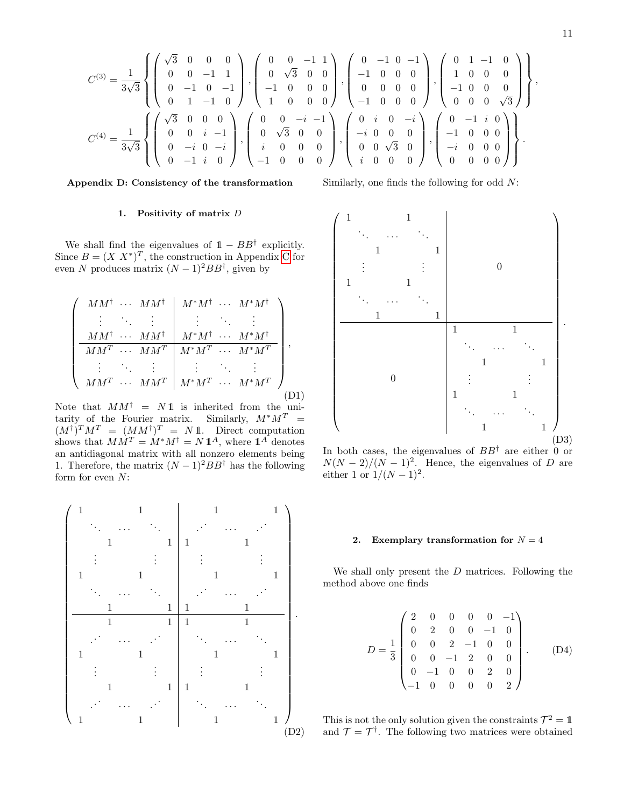11

$$
C^{(3)} = \frac{1}{3\sqrt{3}} \left\{ \left( \begin{array}{cccc} \sqrt{3} & 0 & 0 & 0 \\ 0 & 0 & -1 & 1 \\ 0 & -1 & 0 & -1 \\ 0 & 1 & -1 & 0 \end{array} \right), \left( \begin{array}{cccc} 0 & 0 & -1 & 1 \\ 0 & \sqrt{3} & 0 & 0 \\ -1 & 0 & 0 & 0 \\ 1 & 0 & 0 & 0 \end{array} \right), \left( \begin{array}{cccc} 0 & -1 & 0 & -1 \\ -1 & 0 & 0 & 0 \\ 0 & 0 & 0 & 0 \\ -1 & 0 & 0 & 0 \end{array} \right), \left( \begin{array}{cccc} 0 & 1 & -1 & 0 \\ 1 & 0 & 0 & 0 \\ -1 & 0 & 0 & 0 \\ 0 & 0 & 0 & \sqrt{3} \end{array} \right) \right\},
$$
  
\n
$$
C^{(4)} = \frac{1}{3\sqrt{3}} \left\{ \left( \begin{array}{cccc} \sqrt{3} & 0 & 0 & 0 \\ 0 & 0 & i & -1 \\ 0 & -i & 0 & -i \\ 0 & -1 & i & 0 \end{array} \right), \left( \begin{array}{cccc} 0 & 0 & -i & -1 \\ 0 & \sqrt{3} & 0 & 0 \\ i & 0 & 0 & 0 \\ -1 & 0 & 0 & 0 \end{array} \right), \left( \begin{array}{cccc} 0 & i & 0 & -i \\ -i & 0 & 0 & 0 \\ 0 & 0 & \sqrt{3} & 0 \\ i & 0 & 0 & 0 \end{array} \right), \left( \begin{array}{cccc} 0 & -1 & i & 0 \\ -i & 0 & 0 & 0 \\ 0 & 0 & \sqrt{3} & 0 \\ i & 0 & 0 & 0 \end{array} \right) \right\}.
$$

### <span id="page-10-0"></span>Appendix D: Consistency of the transformation

## 1. Positivity of matrix  $D$

We shall find the eigenvalues of  $1 - BB^{\dagger}$  explicitly. Since  $B = (X X^*)^T$ , the construction in Appendix [C](#page-8-1) for even N produces matrix  $(N-1)^2BB^{\dagger}$ , given by

$$
\begin{pmatrix}\nMM^{\dagger} & \cdots & MM^{\dagger} & M^*M^{\dagger} & \cdots & M^*M^{\dagger} \\
\vdots & \ddots & \vdots & \vdots & \ddots & \vdots \\
MM^{\dagger} & \cdots & MM^{\dagger} & M^*M^{\dagger} & \cdots & M^*M^{\dagger} \\
\hline\nMM^T & \cdots & MM^T & M^*M^T & \cdots & M^*M^T \\
\vdots & \ddots & \vdots & \vdots & \ddots & \vdots \\
MM^T & \cdots & MM^T & M^*M^T & \cdots & M^*M^T\n\end{pmatrix},
$$
\n
$$
(D1)
$$

Note that  $MM^{\dagger} = N1$  is inherited from the unitarity of the Fourier matrix. Similarly,  $M^*M^T =$  $(M^{\dagger})^T M^T = (MM^{\dagger})^T = N \mathbb{1}$ . Direct computation shows that  $MM^T = M^*M^{\dagger} = N 1^A$ , where  $1^A$  denotes an antidiagonal matrix with all nonzero elements being 1. Therefore, the matrix  $(N-1)^2BB^{\dagger}$  has the following form for even  $N$ :

 1 1 . . . · · · . . . 1 1 . . . . . . 1 1 . . . · · · . . . 1 1 1 1 . . . · · · . . . 1 1 . . . . . . 1 1 . . . · · · . . . 1 1 1 1 . . . · · · . . . 1 1 . . . . . . 1 1 . . . · · · . . . 1 1 1 1 . . . · · · . . . 1 1 . . . . . . 1 1 . . . · · · . . . 1 1 . (D2)

Similarly, one finds the following for odd N:



In both cases, the eigenvalues of  $BB^{\dagger}$  are either 0 or  $N(N-2)/(N-1)^2$ . Hence, the eigenvalues of D are either 1 or  $1/(N-1)^2$ .

### 2. Exemplary transformation for  $N = 4$

We shall only present the D matrices. Following the method above one finds

$$
D = \frac{1}{3} \begin{pmatrix} 2 & 0 & 0 & 0 & 0 & -1 \\ 0 & 2 & 0 & 0 & -1 & 0 \\ 0 & 0 & 2 & -1 & 0 & 0 \\ 0 & 0 & -1 & 2 & 0 & 0 \\ 0 & -1 & 0 & 0 & 2 & 0 \\ -1 & 0 & 0 & 0 & 0 & 2 \end{pmatrix} .
$$
 (D4)

This is not the only solution given the constraints  $\mathcal{T}^2 = 1$ and  $\mathcal{T} = \mathcal{T}^{\dagger}$ . The following two matrices were obtained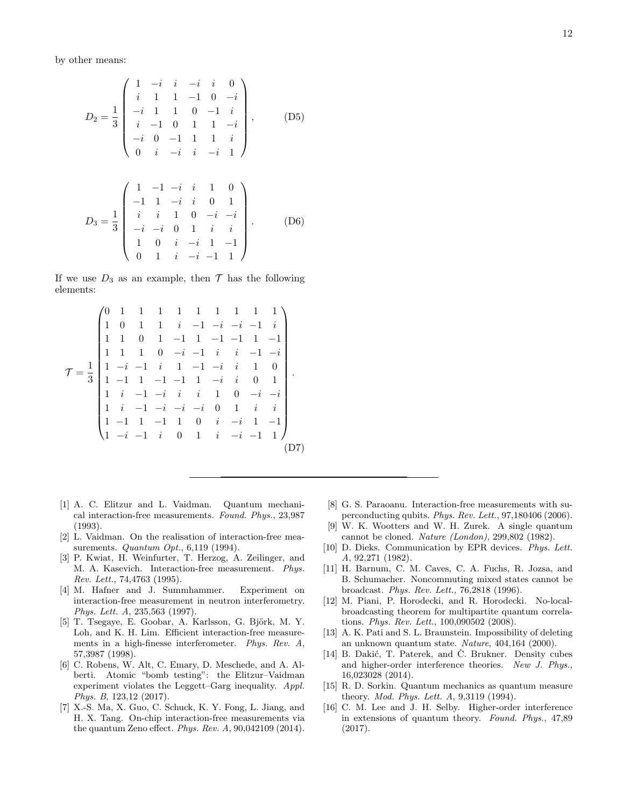by other means:

$$
D_2 = \frac{1}{3} \begin{pmatrix} 1 & -i & i & -i & i & 0 \\ i & 1 & 1 & -1 & 0 & -i \\ -i & 1 & 1 & 0 & -1 & i \\ i & -1 & 0 & 1 & 1 & -i \\ -i & 0 & -1 & 1 & 1 & i \\ 0 & i & -i & i & -i & 1 \end{pmatrix}, \quad (D5)
$$

$$
D_3 = \frac{1}{3} \begin{pmatrix} 1 & -1 & -i & i & 1 & 0 \\ -1 & 1 & -i & i & 0 & 1 \\ i & i & 1 & 0 & -i & -i \\ -i & -i & 0 & 1 & i & i \\ 1 & 0 & i & -i & 1 & -1 \\ 0 & 1 & i & -i & -1 & 1 \end{pmatrix} .
$$
 (D6)

If we use  $D_3$  as an example, then  $\mathcal T$  has the following elements:

$$
\mathcal{T} = \frac{1}{3} \begin{pmatrix}\n0 & 1 & 1 & 1 & 1 & 1 & 1 & 1 & 1 & 1 \\
1 & 0 & 1 & 1 & i & -1 & -i & -i & -1 & i \\
1 & 1 & 0 & 1 & -1 & 1 & -1 & -1 & 1 & -1 \\
1 & 1 & 1 & 0 & -i & -1 & i & i & -1 & -i \\
1 & -i & -1 & i & 1 & -1 & -i & i & 1 & 0 \\
1 & -1 & 1 & -1 & -1 & 1 & -i & i & 0 & 1 \\
1 & i & -1 & -i & i & i & 1 & 0 & -i & -i \\
1 & i & -1 & -i & -i & -i & 0 & 1 & i & i \\
1 & -1 & 1 & -1 & 1 & 0 & i & -i & 1 & -1 \\
1 & -i & -1 & i & 0 & 1 & i & -i & -1 & 1\n\end{pmatrix}
$$
\n(D7)

- <span id="page-11-0"></span>[1] A. C. Elitzur and L. Vaidman. Quantum mechanical interaction-free measurements. Found. Phys., 23,987 (1993).
- [2] L. Vaidman. On the realisation of interaction-free measurements. *Quantum Opt.*, 6,119 (1994).
- <span id="page-11-10"></span>[3] P. Kwiat, H. Weinfurter, T. Herzog, A. Zeilinger, and M. A. Kasevich. Interaction-free measurement. Phys. Rev. Lett., 74,4763 (1995).
- [4] M. Hafner and J. Summhammer. Experiment on interaction-free measurement in neutron interferometry. Phys. Lett. A, 235,563 (1997).
- [5] T. Tsegaye, E. Goobar, A. Karlsson, G. Björk, M. Y. Loh, and K. H. Lim. Efficient interaction-free measurements in a high-finesse interferometer. Phys. Rev. A, 57,3987 (1998).
- [6] C. Robens, W. Alt, C. Emary, D. Meschede, and A. Alberti. Atomic "bomb testing": the Elitzur–Vaidman experiment violates the Leggett–Garg inequality. Appl. Phys. B, 123,12 (2017).
- <span id="page-11-11"></span>[7] X.-S. Ma, X. Guo, C. Schuck, K. Y. Fong, L. Jiang, and H. X. Tang. On-chip interaction-free measurements via the quantum Zeno effect. Phys. Rev. A, 90,042109 (2014).
- <span id="page-11-1"></span>[8] G. S. Paraoanu. Interaction-free measurements with superconducting qubits. Phys. Rev. Lett., 97,180406 (2006).
- <span id="page-11-2"></span>[9] W. K. Wootters and W. H. Zurek. A single quantum cannot be cloned. Nature (London), 299,802 (1982).
- <span id="page-11-3"></span>[10] D. Dieks. Communication by EPR devices. Phys. Lett. A, 92,271 (1982).
- <span id="page-11-4"></span>[11] H. Barnum, C. M. Caves, C. A. Fuchs, R. Jozsa, and B. Schumacher. Noncommuting mixed states cannot be broadcast. Phys. Rev. Lett., 76,2818 (1996).
- <span id="page-11-5"></span>[12] M. Piani, P. Horodecki, and R. Horodecki. No-localbroadcasting theorem for multipartite quantum correlations. Phys. Rev. Lett., 100,090502 (2008).
- <span id="page-11-6"></span>[13] A. K. Pati and S. L. Braunstein. Impossibility of deleting an unknown quantum state. Nature, 404,164 (2000).
- <span id="page-11-7"></span>[14] B. Dakić, T. Paterek, and Č. Brukner. Density cubes and higher-order interference theories. New J. Phys., 16,023028 (2014).
- <span id="page-11-8"></span>[15] R. D. Sorkin. Quantum mechanics as quantum measure theory. Mod. Phys. Lett. A, 9,3119 (1994).
- <span id="page-11-9"></span>[16] C. M. Lee and J. H. Selby. Higher-order interference in extensions of quantum theory. Found. Phys., 47,89 (2017).